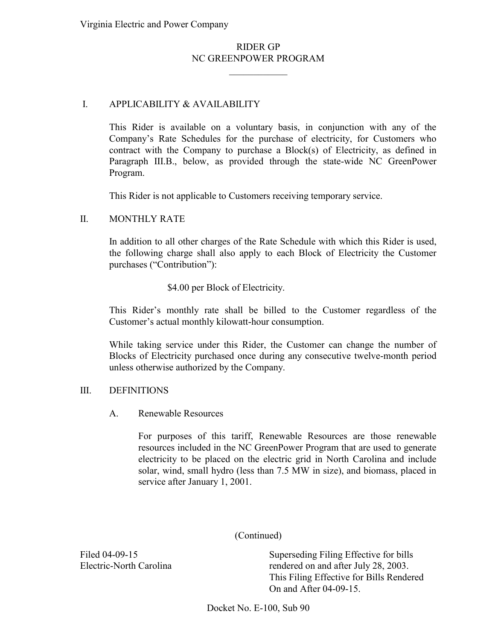# RIDER GP NC GREENPOWER PROGRAM

 $\frac{1}{2}$  ,  $\frac{1}{2}$  ,  $\frac{1}{2}$  ,  $\frac{1}{2}$  ,  $\frac{1}{2}$  ,  $\frac{1}{2}$ 

## I. APPLICABILITY & AVAILABILITY

This Rider is available on a voluntary basis, in conjunction with any of the Company's Rate Schedules for the purchase of electricity, for Customers who contract with the Company to purchase a Block(s) of Electricity, as defined in Paragraph III.B., below, as provided through the state-wide NC GreenPower Program.

This Rider is not applicable to Customers receiving temporary service.

#### II. MONTHLY RATE

In addition to all other charges of the Rate Schedule with which this Rider is used, the following charge shall also apply to each Block of Electricity the Customer purchases ("Contribution"):

\$4.00 per Block of Electricity.

This Rider's monthly rate shall be billed to the Customer regardless of the Customer's actual monthly kilowatt-hour consumption.

While taking service under this Rider, the Customer can change the number of Blocks of Electricity purchased once during any consecutive twelve-month period unless otherwise authorized by the Company.

#### III. DEFINITIONS

#### A. Renewable Resources

For purposes of this tariff, Renewable Resources are those renewable resources included in the NC GreenPower Program that are used to generate electricity to be placed on the electric grid in North Carolina and include solar, wind, small hydro (less than 7.5 MW in size), and biomass, placed in service after January 1, 2001.

(Continued)

Filed 04-09-15 Superseding Filing Effective for bills Electric-North Carolina rendered on and after July 28, 2003. This Filing Effective for Bills Rendered On and After 04-09-15.

Docket No. E-100, Sub 90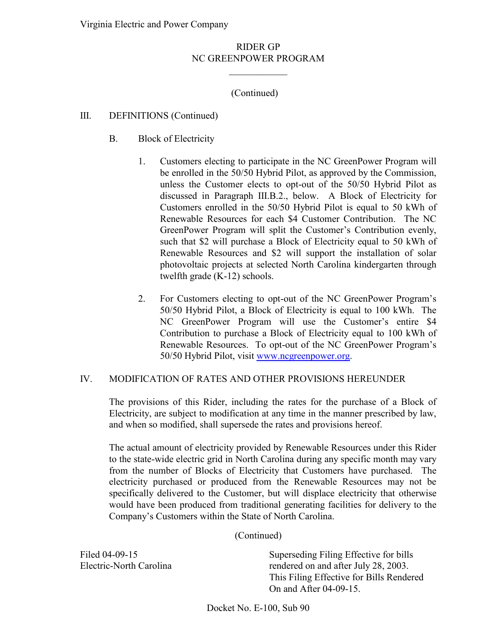## RIDER GP NC GREENPOWER PROGRAM

 $\frac{1}{2}$  ,  $\frac{1}{2}$  ,  $\frac{1}{2}$  ,  $\frac{1}{2}$  ,  $\frac{1}{2}$  ,  $\frac{1}{2}$ 

# (Continued)

### III. DEFINITIONS (Continued)

- B. Block of Electricity
	- 1. Customers electing to participate in the NC GreenPower Program will be enrolled in the 50/50 Hybrid Pilot, as approved by the Commission, unless the Customer elects to opt-out of the 50/50 Hybrid Pilot as discussed in Paragraph III.B.2., below. A Block of Electricity for Customers enrolled in the 50/50 Hybrid Pilot is equal to 50 kWh of Renewable Resources for each \$4 Customer Contribution. The NC GreenPower Program will split the Customer's Contribution evenly, such that \$2 will purchase a Block of Electricity equal to 50 kWh of Renewable Resources and \$2 will support the installation of solar photovoltaic projects at selected North Carolina kindergarten through twelfth grade (K-12) schools.
	- 2. For Customers electing to opt-out of the NC GreenPower Program's 50/50 Hybrid Pilot, a Block of Electricity is equal to 100 kWh. The NC GreenPower Program will use the Customer's entire \$4 Contribution to purchase a Block of Electricity equal to 100 kWh of Renewable Resources. To opt-out of the NC GreenPower Program's 50/50 Hybrid Pilot, visit [www.ncgreenpower.org.](http://www.ncgreenpower.org/)

#### IV. MODIFICATION OF RATES AND OTHER PROVISIONS HEREUNDER

 The provisions of this Rider, including the rates for the purchase of a Block of Electricity, are subject to modification at any time in the manner prescribed by law, and when so modified, shall supersede the rates and provisions hereof.

 The actual amount of electricity provided by Renewable Resources under this Rider to the state-wide electric grid in North Carolina during any specific month may vary from the number of Blocks of Electricity that Customers have purchased. The electricity purchased or produced from the Renewable Resources may not be specifically delivered to the Customer, but will displace electricity that otherwise would have been produced from traditional generating facilities for delivery to the Company's Customers within the State of North Carolina.

(Continued)

Electric-North Carolina

 On and After 04-09-15. Filed 04-09-15 Superseding Filing Effective for bills rendered on and after July 28, 2003. This Filing Effective for Bills Rendered

Docket No. E-100, Sub 90